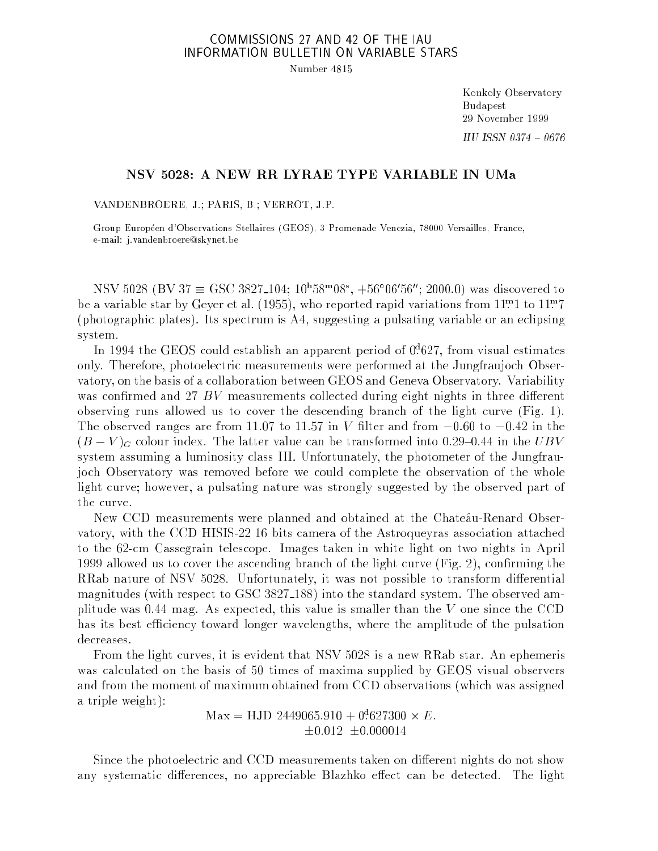## COMMISSIONS 27 AND 42 OF THE IAU INFORMATION BULLETIN ON VARIABLE STARS

Number 4815

Konkoly Observatory Budapest 29 November 1999  $HU$  ISSN 0374 - 0676

## NSV 5028: A NEW RR LYRAE TYPE VARIABLE IN UMa

VANDENBROERE, J.; PARIS, B.; VERROT, J.P.

Group Européen d'Observations Stellaires (GEOS), 3 Promenade Venezia, 78000 Versailles, France, e-mail: j.vandenbroere@skynet.be

 $0.5$  V  $3028$  (B V  $31 \equiv 550$   $3827$  104; 10 38  $0.08$ , +36 00  $0.00$ ; 2000.0) was discovered to be a variable star by Geyer et al. (1955), who reported rapid variations from 11: 1 to 11: 7 (photographic plates). Its spectrum is A4, suggesting a pulsating variable or an eclipsing system.

In 1994 the GEOS could establish an apparent period of 0: <sup>d</sup> 627, from visual estimates only. Therefore, photoelectric measurements were performed at the Jungfraujoch Observatory, on the basis of a collaboration between GEOS and Geneva Observatory. Variability was confirmed and  $27$  BV measurements collected during eight nights in three different observing runs allowed us to cover the descending branch of the light curve (Fig. 1). The observed ranges are from 11.07 to 11.57 in V filter and from  $-0.60$  to  $-0.42$  in the  $(B - V)_{G}$  colour index. The latter value can be transformed into 0.29–0.44 in the UBV system assuming a luminosity class III. Unfortunately, the photometer of the Jungfraujoch Observatory was removed before we could complete the observation of the whole light curve; however, a pulsating nature was strongly suggested by the observed part of the curve.

New CCD measurements were planned and obtained at the Chate^au-Renard Observatory, with the CCD HISIS-22 16 bits camera of the Astroqueyras association attached to the 62-cm Cassegrain telescope. Images taken in white light on two nights in April 1999 allowed us to cover the ascending branch of the light curve  $(Fig. 2)$ , confirming the RRab nature of NSV 5028. Unfortunately, it was not possible to transform differential magnitudes (with respect to GSC 3827 188) into the standard system. The observed amplitude was 0.44 mag. As expected, this value is smaller than the <sup>V</sup> one since the CCD has its best efficiency toward longer wavelengths, where the amplitude of the pulsation decreases.

From the light curves, it is evident that NSV 5028 is a new RRab star. An ephemeris was calculated on the basis of 50 times of maxima supplied by GEOS visual observers and from the moment of maximum obtained from CCD observations (which was assigned a triple weight):

> $\text{max}$  = HJD 2449000.910 + 0.027300  $\times$  E.  $\pm 0.012 \pm 0.000014$

Since the photoelectric and CCD measurements taken on different nights do not show any systematic differences, no appreciable Blazhko effect can be detected. The light